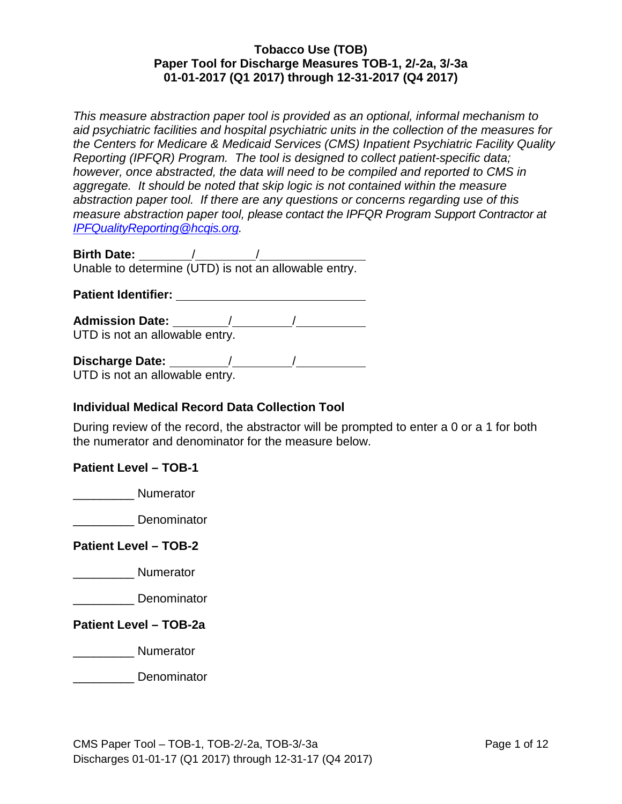*This measure abstraction paper tool is provided as an optional, informal mechanism to aid psychiatric facilities and hospital psychiatric units in the collection of the measures for the Centers for Medicare & Medicaid Services (CMS) Inpatient Psychiatric Facility Quality Reporting (IPFQR) Program. The tool is designed to collect patient-specific data; however, once abstracted, the data will need to be compiled and reported to CMS in aggregate. It should be noted that skip logic is not contained within the measure abstraction paper tool. If there are any questions or concerns regarding use of this measure abstraction paper tool, please contact the IPFQR Program Support Contractor at [IPFQualityReporting@hcqis.org.](mailto:IPFQualityReporting@hcqis.org)*

**Birth Date:** / / Unable to determine (UTD) is not an allowable entry.

### **Patient Identifier:**

**Admission Date:** / / UTD is not an allowable entry.

**Discharge Date:** / /

UTD is not an allowable entry.

## **Individual Medical Record Data Collection Tool**

During review of the record, the abstractor will be prompted to enter a 0 or a 1 for both the numerator and denominator for the measure below.

## **Patient Level – TOB-1**

\_\_\_\_\_\_\_\_\_ Numerator

\_\_\_\_\_\_\_\_\_ Denominator

**Patient Level – TOB-2**

\_\_\_\_\_\_\_\_\_ Numerator

\_\_\_\_\_\_\_\_\_ Denominator

**Patient Level – TOB-2a**

\_\_\_\_\_\_\_\_\_ Numerator

\_\_\_\_\_\_\_\_\_ Denominator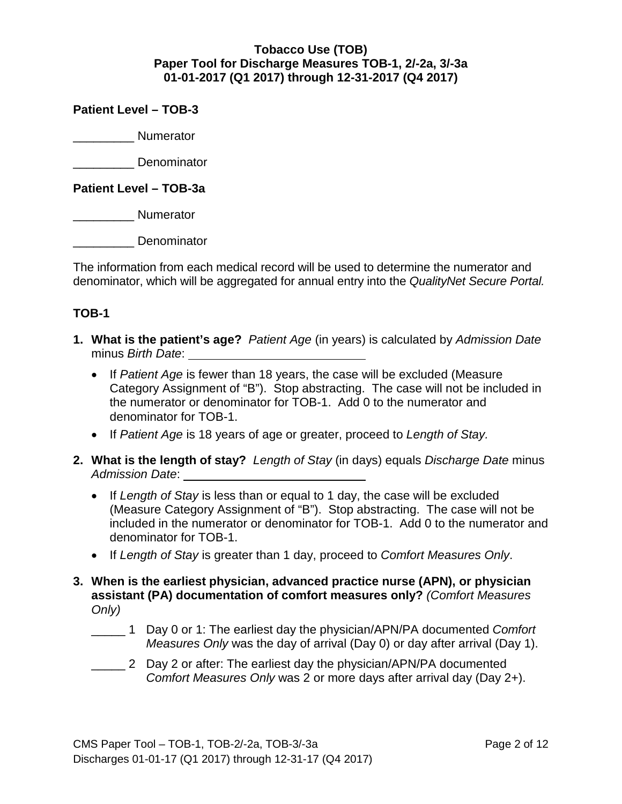### **Patient Level – TOB-3**

\_\_\_\_\_\_\_\_\_ Numerator

\_\_\_\_\_\_\_\_\_ Denominator

**Patient Level – TOB-3a**

\_\_\_\_\_\_\_\_\_ Numerator

\_\_\_\_\_\_\_\_\_ Denominator

The information from each medical record will be used to determine the numerator and denominator, which will be aggregated for annual entry into the *QualityNet Secure Portal.* 

## **TOB-1**

- **1. What is the patient's age?** *Patient Age* (in years) is calculated by *Admission Date* minus *Birth Date*:
	- If *Patient Age* is fewer than 18 years, the case will be excluded (Measure Category Assignment of "B"). Stop abstracting. The case will not be included in the numerator or denominator for TOB-1. Add 0 to the numerator and denominator for TOB-1.
	- If *Patient Age* is 18 years of age or greater, proceed to *Length of Stay.*
- **2. What is the length of stay?** *Length of Stay* (in days) equals *Discharge Date* minus *Admission Date*:
	- If *Length of Stay* is less than or equal to 1 day, the case will be excluded (Measure Category Assignment of "B"). Stop abstracting. The case will not be included in the numerator or denominator for TOB-1. Add 0 to the numerator and denominator for TOB-1.
	- If *Length of Stay* is greater than 1 day, proceed to *Comfort Measures Only*.
- **3. When is the earliest physician, advanced practice nurse (APN), or physician assistant (PA) documentation of comfort measures only?** *(Comfort Measures Only)*
	- \_\_\_\_\_ 1 Day 0 or 1: The earliest day the physician/APN/PA documented *Comfort Measures Only* was the day of arrival (Day 0) or day after arrival (Day 1).
	- \_\_\_\_\_ 2 Day 2 or after: The earliest day the physician/APN/PA documented *Comfort Measures Only* was 2 or more days after arrival day (Day 2+).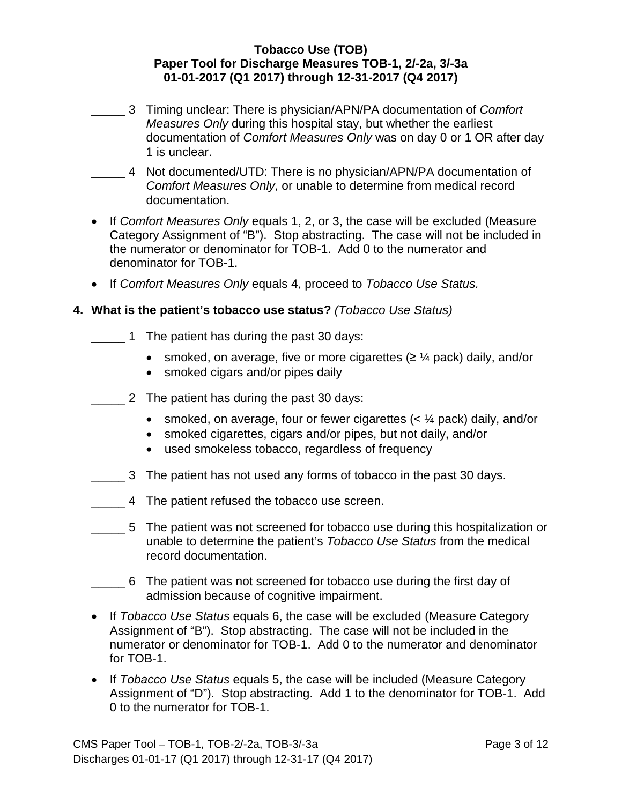- \_\_\_\_\_ 3 Timing unclear: There is physician/APN/PA documentation of *Comfort Measures Only* during this hospital stay, but whether the earliest documentation of *Comfort Measures Only* was on day 0 or 1 OR after day 1 is unclear.
- \_\_\_\_\_ 4 Not documented/UTD: There is no physician/APN/PA documentation of *Comfort Measures Only*, or unable to determine from medical record documentation.
- If *Comfort Measures Only* equals 1, 2, or 3, the case will be excluded (Measure Category Assignment of "B"). Stop abstracting. The case will not be included in the numerator or denominator for TOB-1. Add 0 to the numerator and denominator for TOB-1.
- If *Comfort Measures Only* equals 4, proceed to *Tobacco Use Status.*

### **4. What is the patient's tobacco use status?** *(Tobacco Use Status)*

- \_\_\_\_\_ 1 The patient has during the past 30 days:
	- smoked, on average, five or more cigarettes  $(\geq \frac{1}{4}$  pack) daily, and/or
	- smoked cigars and/or pipes daily
- \_\_\_\_\_ 2 The patient has during the past 30 days:
	- smoked, on average, four or fewer cigarettes  $( $\frac{1}{4}$  pack) daily, and/or$
	- smoked cigarettes, cigars and/or pipes, but not daily, and/or
	- used smokeless tobacco, regardless of frequency
- \_\_\_\_\_ 3 The patient has not used any forms of tobacco in the past 30 days.
- \_\_\_\_\_ 4 The patient refused the tobacco use screen.
- \_\_\_\_\_ 5 The patient was not screened for tobacco use during this hospitalization or unable to determine the patient's *Tobacco Use Status* from the medical record documentation.
- \_\_\_\_\_ 6 The patient was not screened for tobacco use during the first day of admission because of cognitive impairment.
- If *Tobacco Use Status* equals 6, the case will be excluded (Measure Category Assignment of "B"). Stop abstracting. The case will not be included in the numerator or denominator for TOB-1. Add 0 to the numerator and denominator for TOB-1.
- If *Tobacco Use Status* equals 5, the case will be included (Measure Category Assignment of "D"). Stop abstracting. Add 1 to the denominator for TOB-1. Add 0 to the numerator for TOB-1.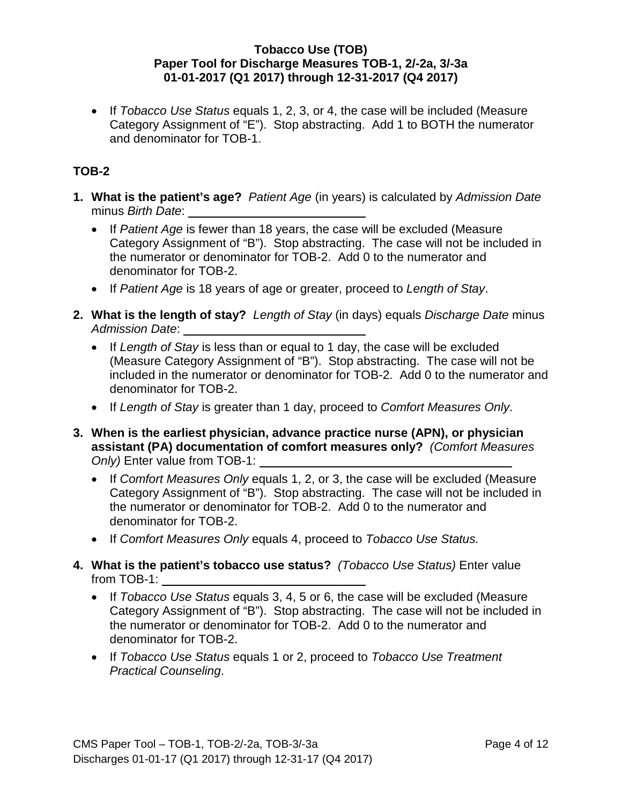• If *Tobacco Use Status* equals 1, 2, 3, or 4, the case will be included (Measure Category Assignment of "E"). Stop abstracting. Add 1 to BOTH the numerator and denominator for TOB-1.

# **TOB-2**

- **1. What is the patient's age?** *Patient Age* (in years) is calculated by *Admission Date* minus *Birth Date*:
	- If *Patient Age* is fewer than 18 years, the case will be excluded (Measure Category Assignment of "B"). Stop abstracting. The case will not be included in the numerator or denominator for TOB-2. Add 0 to the numerator and denominator for TOB-2.
	- If *Patient Age* is 18 years of age or greater, proceed to *Length of Stay*.
- **2. What is the length of stay?** *Length of Stay* (in days) equals *Discharge Date* minus *Admission Date*:
	- If *Length of Stay* is less than or equal to 1 day, the case will be excluded (Measure Category Assignment of "B"). Stop abstracting. The case will not be included in the numerator or denominator for TOB-2. Add 0 to the numerator and denominator for TOB-2.
	- If *Length of Stay* is greater than 1 day, proceed to *Comfort Measures Only*.
- **3. When is the earliest physician, advance practice nurse (APN), or physician assistant (PA) documentation of comfort measures only?** *(Comfort Measures Only)* Enter value from TOB-1:
	- If *Comfort Measures Only* equals 1, 2, or 3, the case will be excluded (Measure Category Assignment of "B"). Stop abstracting. The case will not be included in the numerator or denominator for TOB-2. Add 0 to the numerator and denominator for TOB-2.
	- If *Comfort Measures Only* equals 4, proceed to *Tobacco Use Status.*
- **4. What is the patient's tobacco use status?** *(Tobacco Use Status)* Enter value from TOB-1:
	- If *Tobacco Use Status* equals 3, 4, 5 or 6, the case will be excluded (Measure Category Assignment of "B"). Stop abstracting. The case will not be included in the numerator or denominator for TOB-2. Add 0 to the numerator and denominator for TOB-2.
	- If *Tobacco Use Status* equals 1 or 2, proceed to *Tobacco Use Treatment Practical Counseling*.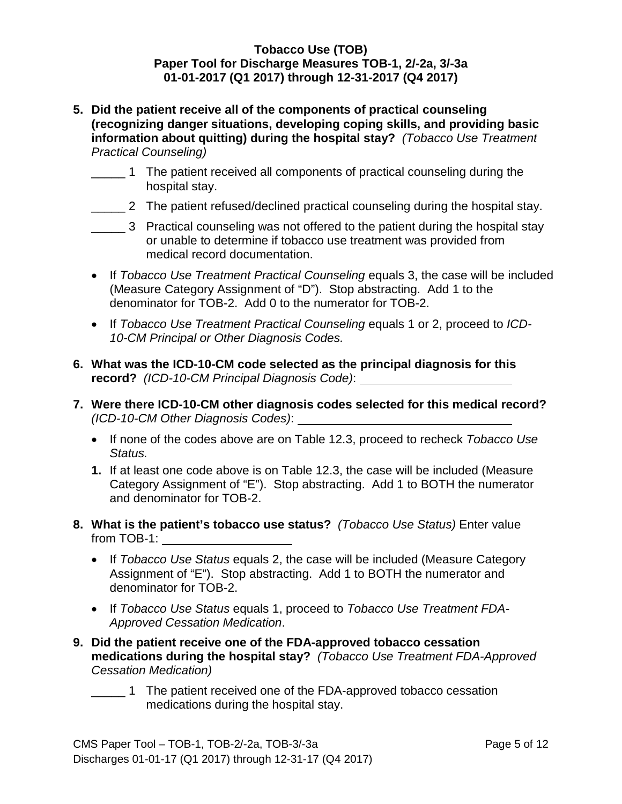- **5. Did the patient receive all of the components of practical counseling (recognizing danger situations, developing coping skills, and providing basic information about quitting) during the hospital stay?** *(Tobacco Use Treatment Practical Counseling)*
	- \_\_\_\_\_ 1 The patient received all components of practical counseling during the hospital stay.
	- \_\_\_\_\_ 2 The patient refused/declined practical counseling during the hospital stay.
	- \_\_\_\_\_ 3 Practical counseling was not offered to the patient during the hospital stay or unable to determine if tobacco use treatment was provided from medical record documentation.
	- If *Tobacco Use Treatment Practical Counseling* equals 3, the case will be included (M*e*asure Category Assignment of "D"). Stop abstracting. Add 1 to the denominator for TOB-2. Add 0 to the numerator for TOB-2.
	- If *Tobacco Use Treatment Practical Counseling* equals 1 or 2, proceed to *ICD-10-CM Principal or Other Diagnosis Codes.*
- **6. What was the ICD-10-CM code selected as the principal diagnosis for this record?** *(ICD-10-CM Principal Diagnosis Code)*:
- **7. Were there ICD-10-CM other diagnosis codes selected for this medical record?** *(ICD-10-CM Other Diagnosis Codes)*:
	- If none of the codes above are on Table 12.3, proceed to recheck *Tobacco Use Status.*
	- **1.** If at least one code above is on Table 12.3, the case will be included (Measure Category Assignment of "E"). Stop abstracting. Add 1 to BOTH the numerator and denominator for TOB-2.
- **8. What is the patient's tobacco use status?** *(Tobacco Use Status)* Enter value from TOB-1:
	- If *Tobacco Use Status* equals 2, the case will be included (Measure Category Assignment of "E"). Stop abstracting. Add 1 to BOTH the numerator and denominator for TOB-2.
	- If *Tobacco Use Status* equals 1, proceed to *Tobacco Use Treatment FDA-Approved Cessation Medication*.
- **9. Did the patient receive one of the FDA-approved tobacco cessation medications during the hospital stay?** *(Tobacco Use Treatment FDA-Approved Cessation Medication)*
	- \_\_\_\_\_ 1 The patient received one of the FDA-approved tobacco cessation medications during the hospital stay.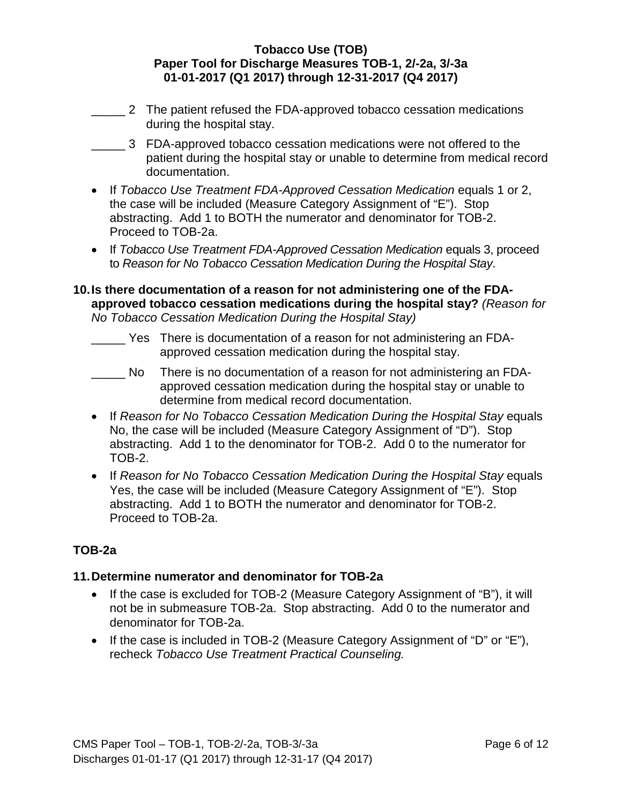- \_\_\_\_\_ 2 The patient refused the FDA-approved tobacco cessation medications during the hospital stay.
- \_\_\_\_\_ 3 FDA-approved tobacco cessation medications were not offered to the patient during the hospital stay or unable to determine from medical record documentation.
- If *Tobacco Use Treatment FDA-Approved Cessation Medication* equals 1 or 2, the case will be included (Measure Category Assignment of "E"). Stop abstracting. Add 1 to BOTH the numerator and denominator for TOB-2. Proceed to TOB-2a.
- If *Tobacco Use Treatment FDA-Approved Cessation Medication* equals 3, proceed to *Reason for No Tobacco Cessation Medication During the Hospital Stay*.

#### **10.Is there documentation of a reason for not administering one of the FDAapproved tobacco cessation medications during the hospital stay?** *(Reason for No Tobacco Cessation Medication During the Hospital Stay)*

- \_\_\_\_\_ Yes There is documentation of a reason for not administering an FDAapproved cessation medication during the hospital stay.
- \_\_\_\_\_ No There is no documentation of a reason for not administering an FDAapproved cessation medication during the hospital stay or unable to determine from medical record documentation.
- If *Reason for No Tobacco Cessation Medication During the Hospital Stay* equals No, the case will be included (Measure Category Assignment of "D"). Stop abstracting. Add 1 to the denominator for TOB-2. Add 0 to the numerator for TOB-2.
- If *Reason for No Tobacco Cessation Medication During the Hospital Stay* equals Yes, the case will be included (Measure Category Assignment of "E"). Stop abstracting. Add 1 to BOTH the numerator and denominator for TOB-2. Proceed to TOB-2a.

# **TOB-2a**

# **11. Determine numerator and denominator for TOB-2a**

- If the case is excluded for TOB-2 (Measure Category Assignment of "B"), it will not be in submeasure TOB-2a. Stop abstracting. Add 0 to the numerator and denominator for TOB-2a.
- If the case is included in TOB-2 (Measure Category Assignment of "D" or "E"), recheck *Tobacco Use Treatment Practical Counseling.*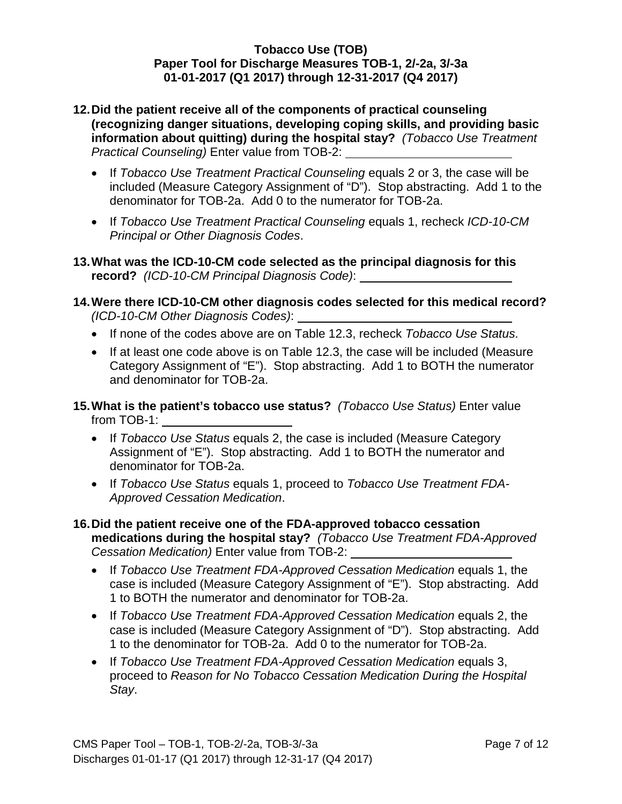- **12.Did the patient receive all of the components of practical counseling (recognizing danger situations, developing coping skills, and providing basic information about quitting) during the hospital stay?** *(Tobacco Use Treatment Practical Counseling)* Enter value from TOB-2:
	- If *Tobacco Use Treatment Practical Counseling* equals 2 or 3, the case will be included (Measure Category Assignment of "D"). Stop abstracting. Add 1 to the denominator for TOB-2a. Add 0 to the numerator for TOB-2a.
	- If *Tobacco Use Treatment Practical Counseling* equals 1, recheck *ICD-10-CM Principal or Other Diagnosis Codes*.
- **13.What was the ICD-10-CM code selected as the principal diagnosis for this record?** *(ICD-10-CM Principal Diagnosis Code)*:
- **14.Were there ICD-10-CM other diagnosis codes selected for this medical record?** *(ICD-10-CM Other Diagnosis Codes)*:
	- If none of the codes above are on Table 12.3, recheck *Tobacco Use Status*.
	- If at least one code above is on Table 12.3, the case will be included (Measure Category Assignment of "E"). Stop abstracting. Add 1 to BOTH the numerator and denominator for TOB-2a.
- **15.What is the patient's tobacco use status?** *(Tobacco Use Status)* Enter value from TOB-1:
	- If *Tobacco Use Status* equals 2, the case is included (Measure Category Assignment of "E"). Stop abstracting. Add 1 to BOTH the numerator and denominator for TOB-2a.
	- If *Tobacco Use Status* equals 1, proceed to *Tobacco Use Treatment FDA-Approved Cessation Medication*.
- **16.Did the patient receive one of the FDA-approved tobacco cessation medications during the hospital stay?** *(Tobacco Use Treatment FDA-Approved Cessation Medication)* Enter value from TOB-2:
	- If *Tobacco Use Treatment FDA-Approved Cessation Medication* equals 1, the case is included (M*e*asure Category Assignment of "E"). Stop abstracting. Add 1 to BOTH the numerator and denominator for TOB-2a.
	- If *Tobacco Use Treatment FDA-Approved Cessation Medication* equals 2, the case is included (Measure Category Assignment of "D"). Stop abstracting. Add 1 to the denominator for TOB-2a. Add 0 to the numerator for TOB-2a.
	- If *Tobacco Use Treatment FDA-Approved Cessation Medication* equals 3, proceed to *Reason for No Tobacco Cessation Medication During the Hospital Stay*.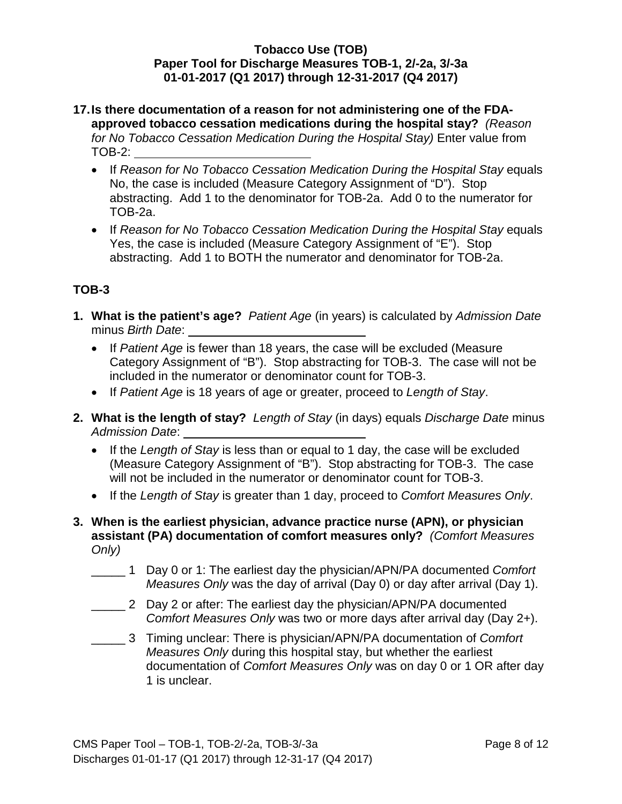### **17.Is there documentation of a reason for not administering one of the FDAapproved tobacco cessation medications during the hospital stay?** *(Reason for No Tobacco Cessation Medication During the Hospital Stay)* Enter value from TOB-2:

- If *Reason for No Tobacco Cessation Medication During the Hospital Stay* equals No, the case is included (Measure Category Assignment of "D"). Stop abstracting. Add 1 to the denominator for TOB-2a. Add 0 to the numerator for TOB-2a.
- If *Reason for No Tobacco Cessation Medication During the Hospital Stay* equals Yes, the case is included (Measure Category Assignment of "E"). Stop abstracting. Add 1 to BOTH the numerator and denominator for TOB-2a.

# **TOB-3**

- **1. What is the patient's age?** *Patient Age* (in years) is calculated by *Admission Date* minus *Birth Date*:
	- If *Patient Age* is fewer than 18 years, the case will be excluded (Measure Category Assignment of "B"). Stop abstracting for TOB-3. The case will not be included in the numerator or denominator count for TOB-3.
	- If *Patient Age* is 18 years of age or greater, proceed to *Length of Stay*.
- **2. What is the length of stay?** *Length of Stay* (in days) equals *Discharge Date* minus *Admission Date*:
	- If the *Length of Stay* is less than or equal to 1 day, the case will be excluded (Measure Category Assignment of "B"). Stop abstracting for TOB-3. The case will not be included in the numerator or denominator count for TOB-3.
	- If the *Length of Stay* is greater than 1 day, proceed to *Comfort Measures Only*.
- **3. When is the earliest physician, advance practice nurse (APN), or physician assistant (PA) documentation of comfort measures only?** *(Comfort Measures Only)*
	- \_\_\_\_\_ 1 Day 0 or 1: The earliest day the physician/APN/PA documented *Comfort Measures Only* was the day of arrival (Day 0) or day after arrival (Day 1).
	- $\overline{\phantom{a}}$ 2 Day 2 or after: The earliest day the physician/APN/PA documented *Comfort Measures Only* was two or more days after arrival day (Day 2+).
	- \_\_\_\_\_ 3 Timing unclear: There is physician/APN/PA documentation of *Comfort Measures Only* during this hospital stay, but whether the earliest documentation of *Comfort Measures Only* was on day 0 or 1 OR after day 1 is unclear.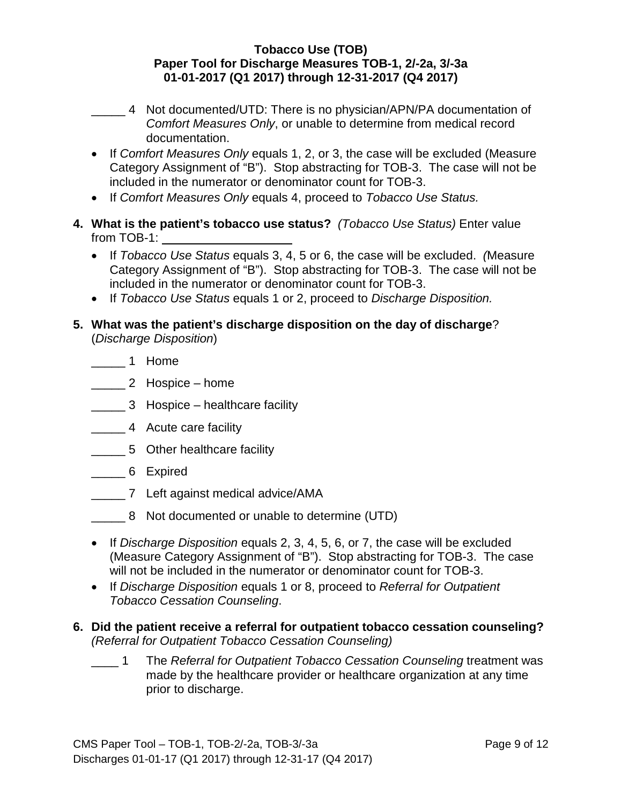- \_\_\_\_\_ 4 Not documented/UTD: There is no physician/APN/PA documentation of *Comfort Measures Only*, or unable to determine from medical record documentation.
- If *Comfort Measures Only* equals 1, 2, or 3, the case will be excluded (Measure Category Assignment of "B"). Stop abstracting for TOB-3. The case will not be included in the numerator or denominator count for TOB-3.
- If *Comfort Measures Only* equals 4, proceed to *Tobacco Use Status.*
- **4. What is the patient's tobacco use status?** *(Tobacco Use Status)* Enter value from TOB-1:
	- If *Tobacco Use Status* equals 3, 4, 5 or 6, the case will be excluded. *(*Measure Category Assignment of "B"). Stop abstracting for TOB-3. The case will not be included in the numerator or denominator count for TOB-3.
	- If *Tobacco Use Status* equals 1 or 2, proceed to *Discharge Disposition.*
- **5. What was the patient's discharge disposition on the day of discharge**? (*Discharge Disposition*)
	- \_\_\_\_\_ 1 Home
	- \_\_\_\_\_\_ 2 Hospice home
	- \_\_\_\_\_ 3 Hospice healthcare facility
	- \_\_\_\_\_ 4 Acute care facility
	- \_\_\_\_\_ 5 Other healthcare facility
	- \_\_\_\_\_ 6 Expired
	- \_\_\_\_\_ 7 Left against medical advice/AMA
	- \_\_\_\_\_ 8 Not documented or unable to determine (UTD)
	- If *Discharge Disposition* equals 2, 3, 4, 5, 6, or 7, the case will be excluded (Measure Category Assignment of "B"). Stop abstracting for TOB-3. The case will not be included in the numerator or denominator count for TOB-3.
	- If *Discharge Disposition* equals 1 or 8, proceed to *Referral for Outpatient Tobacco Cessation Counseling*.
- **6. Did the patient receive a referral for outpatient tobacco cessation counseling?**  *(Referral for Outpatient Tobacco Cessation Counseling)*
	- $\blacksquare$ 1 The *Referral for Outpatient Tobacco Cessation Counseling* treatment was made by the healthcare provider or healthcare organization at any time prior to discharge.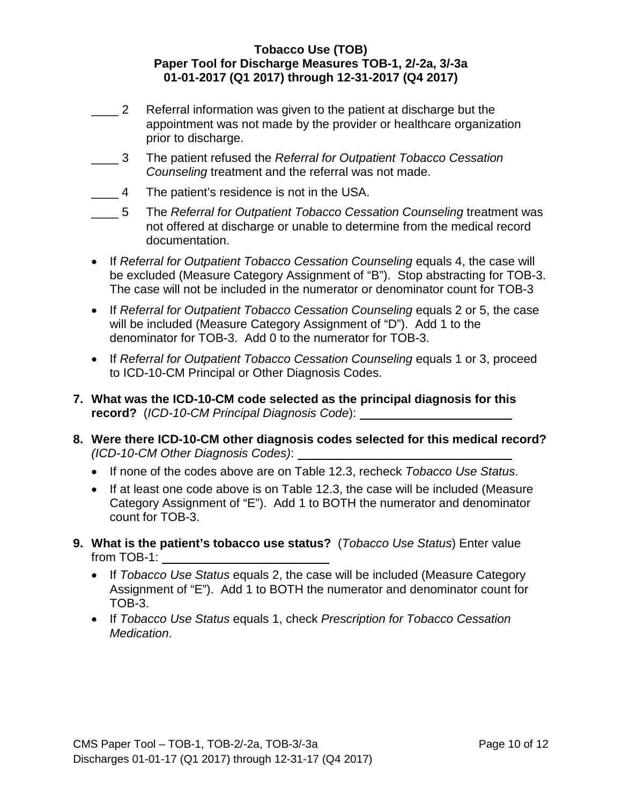- $\frac{2}{\sqrt{2}}$ Referral information was given to the patient at discharge but the appointment was not made by the provider or healthcare organization prior to discharge.
- $\overline{\phantom{a}}$  3 3 The patient refused the *Referral for Outpatient Tobacco Cessation Counseling* treatment and the referral was not made.
- $\overline{4}$ The patient's residence is not in the USA.
- $-5$ 5 The *Referral for Outpatient Tobacco Cessation Counseling* treatment was not offered at discharge or unable to determine from the medical record documentation.
- If *Referral for Outpatient Tobacco Cessation Counseling* equals 4, the case will be excluded (Measure Category Assignment of "B"). Stop abstracting for TOB-3. The case will not be included in the numerator or denominator count for TOB-3
- If *Referral for Outpatient Tobacco Cessation Counseling* equals 2 or 5, the case will be included (Measure Category Assignment of "D"). Add 1 to the denominator for TOB-3. Add 0 to the numerator for TOB-3.
- If *Referral for Outpatient Tobacco Cessation Counseling* equals 1 or 3, proceed to ICD-10-CM Principal or Other Diagnosis Codes.
- **7. What was the ICD-10-CM code selected as the principal diagnosis for this record?** (*ICD-10-CM Principal Diagnosis Code*):
- **8. Were there ICD-10-CM other diagnosis codes selected for this medical record?**  *(ICD-10-CM Other Diagnosis Codes)*:
	- If none of the codes above are on Table 12.3, recheck *Tobacco Use Status*.
	- If at least one code above is on Table 12.3, the case will be included (Measure Category Assignment of "E"). Add 1 to BOTH the numerator and denominator count for TOB-3.
- **9. What is the patient's tobacco use status?** (*Tobacco Use Status*) Enter value from TOB-1:
	- If *Tobacco Use Status* equals 2, the case will be included (Measure Category Assignment of "E"). Add 1 to BOTH the numerator and denominator count for TOB-3.
	- If *Tobacco Use Status* equals 1, check *Prescription for Tobacco Cessation Medication*.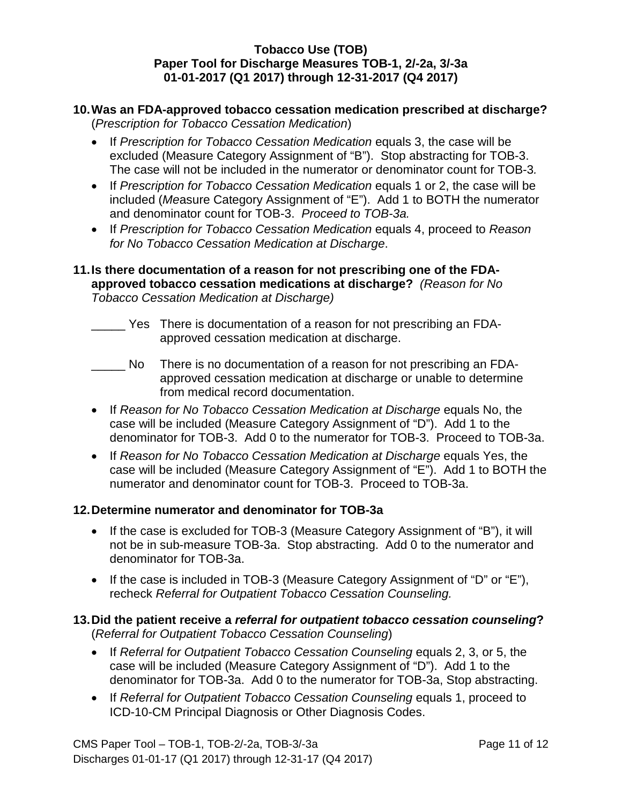#### **10.Was an FDA-approved tobacco cessation medication prescribed at discharge?**  (*Prescription for Tobacco Cessation Medication*)

- If *Prescription for Tobacco Cessation Medication* equals 3, the case will be excluded (Measure Category Assignment of "B"). Stop abstracting for TOB-3. The case will not be included in the numerator or denominator count for TOB-3*.*
- If *Prescription for Tobacco Cessation Medication* equals 1 or 2, the case will be included (*Me*asure Category Assignment of "E"). Add 1 to BOTH the numerator and denominator count for TOB-3. *Proceed to TOB-3a.*
- If *Prescription for Tobacco Cessation Medication* equals 4, proceed to *Reason for No Tobacco Cessation Medication at Discharge*.

### **11.Is there documentation of a reason for not prescribing one of the FDAapproved tobacco cessation medications at discharge?** *(Reason for No Tobacco Cessation Medication at Discharge)*

- \_\_\_\_\_ Yes There is documentation of a reason for not prescribing an FDAapproved cessation medication at discharge.
- $\blacksquare$ There is no documentation of a reason for not prescribing an FDAapproved cessation medication at discharge or unable to determine from medical record documentation.
- If *Reason for No Tobacco Cessation Medication at Discharge* equals No, the case will be included (Measure Category Assignment of "D"). Add 1 to the denominator for TOB-3. Add 0 to the numerator for TOB-3. Proceed to TOB-3a.
- If *Reason for No Tobacco Cessation Medication at Discharge* equals Yes, the case will be included (Measure Category Assignment of "E"). Add 1 to BOTH the numerator and denominator count for TOB-3. Proceed to TOB-3a.

# **12.Determine numerator and denominator for TOB-3a**

- If the case is excluded for TOB-3 (Measure Category Assignment of "B"), it will not be in sub-measure TOB-3a. Stop abstracting. Add 0 to the numerator and denominator for TOB-3a.
- If the case is included in TOB-3 (Measure Category Assignment of "D" or "E"), recheck *Referral for Outpatient Tobacco Cessation Counseling.*

## **13.Did the patient receive a** *referral for outpatient tobacco cessation counseling***?**  (*Referral for Outpatient Tobacco Cessation Counseling*)

- If *Referral for Outpatient Tobacco Cessation Counseling* equals 2, 3, or 5, the case will be included (Measure Category Assignment of "D"). Add 1 to the denominator for TOB-3a. Add 0 to the numerator for TOB-3a, Stop abstracting.
- If *Referral for Outpatient Tobacco Cessation Counseling* equals 1, proceed to ICD-10-CM Principal Diagnosis or Other Diagnosis Codes.

CMS Paper Tool – TOB-1, TOB-2/-2a, TOB-3/-3a Page 11 of 12 Discharges 01-01-17 (Q1 2017) through 12-31-17 (Q4 2017)